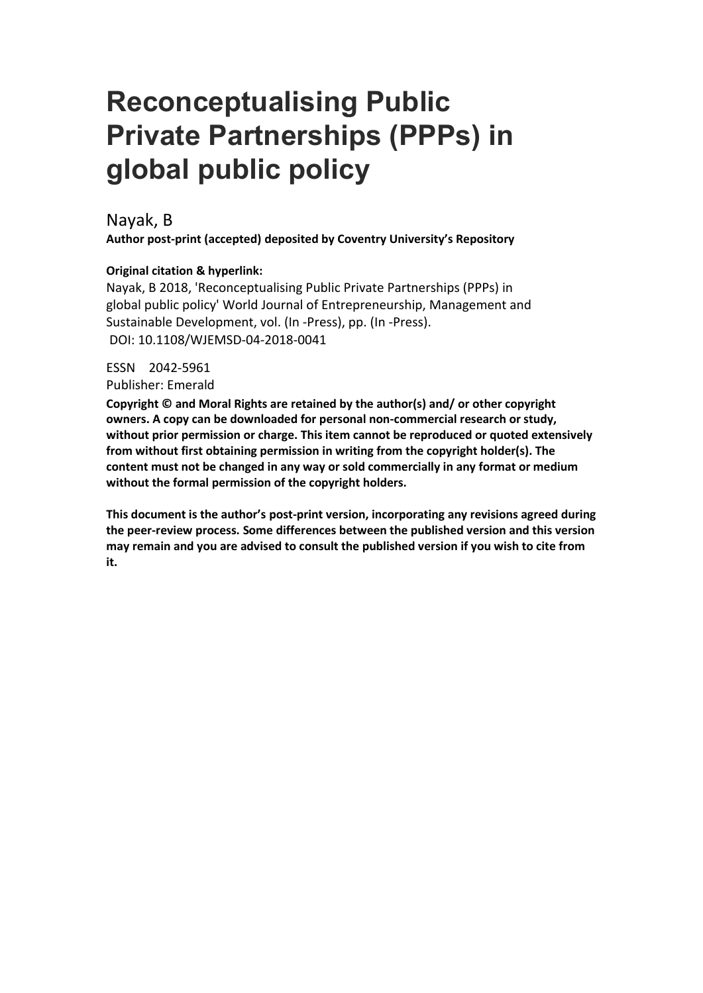# **Reconceptualising Public Private Partnerships (PPPs) in global public policy**

## Nayak, B

**Author post-print (accepted) deposited by Coventry University's Repository**

## **Original citation & hyperlink:**

Nayak, B 2018, 'Reconceptualising Public Private Partnerships (PPPs) in global public policy' World Journal of Entrepreneurship, Management and Sustainable Development, vol. (In -Press), pp. (In -Press). DOI: 10.1108/WJEMSD-04-2018-0041

## ESSN 2042-5961

Publisher: Emerald

**Copyright © and Moral Rights are retained by the author(s) and/ or other copyright owners. A copy can be downloaded for personal non-commercial research or study, without prior permission or charge. This item cannot be reproduced or quoted extensively from without first obtaining permission in writing from the copyright holder(s). The content must not be changed in any way or sold commercially in any format or medium without the formal permission of the copyright holders.** 

**This document is the author's post-print version, incorporating any revisions agreed during the peer-review process. Some differences between the published version and this version may remain and you are advised to consult the published version if you wish to cite from it.**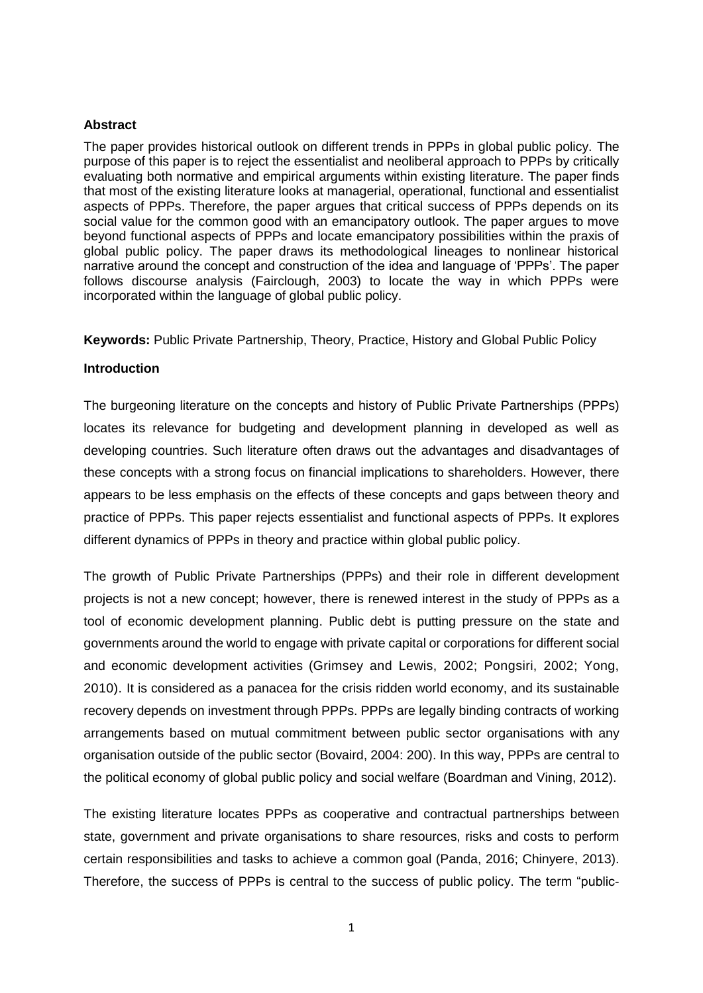#### **Abstract**

The paper provides historical outlook on different trends in PPPs in global public policy. The purpose of this paper is to reject the essentialist and neoliberal approach to PPPs by critically evaluating both normative and empirical arguments within existing literature. The paper finds that most of the existing literature looks at managerial, operational, functional and essentialist aspects of PPPs. Therefore, the paper argues that critical success of PPPs depends on its social value for the common good with an emancipatory outlook. The paper argues to move beyond functional aspects of PPPs and locate emancipatory possibilities within the praxis of global public policy. The paper draws its methodological lineages to nonlinear historical narrative around the concept and construction of the idea and language of 'PPPs'. The paper follows discourse analysis (Fairclough, 2003) to locate the way in which PPPs were incorporated within the language of global public policy.

**Keywords:** Public Private Partnership, Theory, Practice, History and Global Public Policy

#### **Introduction**

The burgeoning literature on the concepts and history of Public Private Partnerships (PPPs) locates its relevance for budgeting and development planning in developed as well as developing countries. Such literature often draws out the advantages and disadvantages of these concepts with a strong focus on financial implications to shareholders. However, there appears to be less emphasis on the effects of these concepts and gaps between theory and practice of PPPs. This paper rejects essentialist and functional aspects of PPPs. It explores different dynamics of PPPs in theory and practice within global public policy.

The growth of Public Private Partnerships (PPPs) and their role in different development projects is not a new concept; however, there is renewed interest in the study of PPPs as a tool of economic development planning. Public debt is putting pressure on the state and governments around the world to engage with private capital or corporations for different social and economic development activities (Grimsey and Lewis, 2002; Pongsiri, 2002; Yong, 2010). It is considered as a panacea for the crisis ridden world economy, and its sustainable recovery depends on investment through PPPs. PPPs are legally binding contracts of working arrangements based on mutual commitment between public sector organisations with any organisation outside of the public sector (Bovaird, 2004: 200). In this way, PPPs are central to the political economy of global public policy and social welfare (Boardman and Vining, 2012).

The existing literature locates PPPs as cooperative and contractual partnerships between state, government and private organisations to share resources, risks and costs to perform certain responsibilities and tasks to achieve a common goal (Panda, 2016; Chinyere, 2013). Therefore, the success of PPPs is central to the success of public policy. The term "public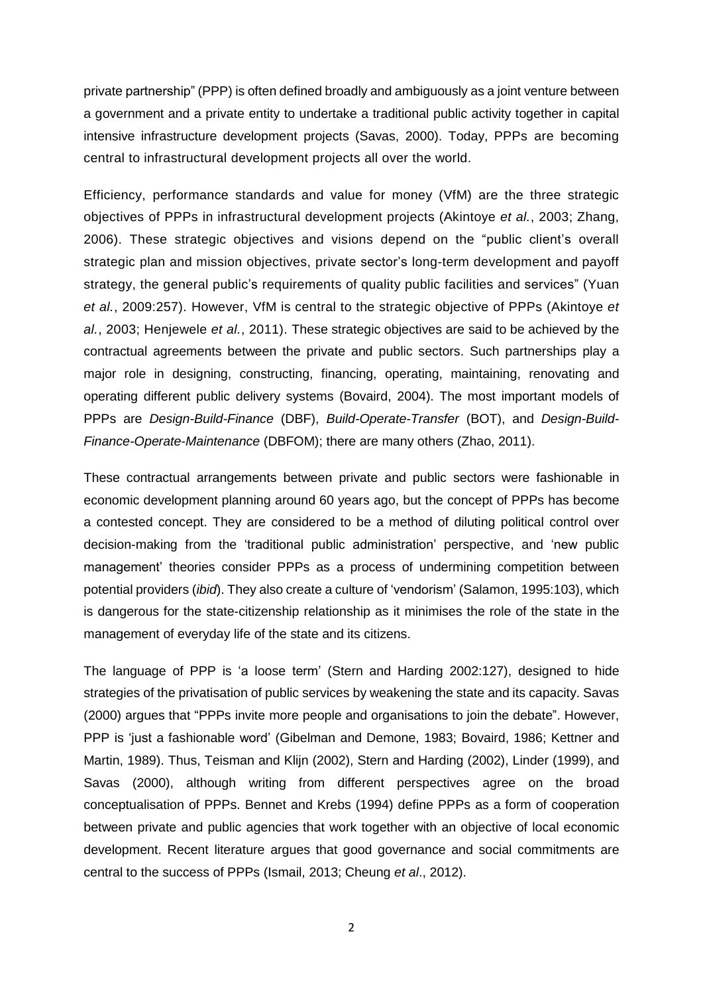private partnership" (PPP) is often defined broadly and ambiguously as a joint venture between a government and a private entity to undertake a traditional public activity together in capital intensive infrastructure development projects (Savas, 2000). Today, PPPs are becoming central to infrastructural development projects all over the world.

Efficiency, performance standards and value for money (VfM) are the three strategic objectives of PPPs in infrastructural development projects (Akintoye *et al.*, 2003; Zhang, 2006). These strategic objectives and visions depend on the "public client's overall strategic plan and mission objectives, private sector's long-term development and payoff strategy, the general public's requirements of quality public facilities and services" (Yuan *et al.*, 2009:257). However, VfM is central to the strategic objective of PPPs (Akintoye *et al.*, 2003; Henjewele *et al.*, 2011). These strategic objectives are said to be achieved by the contractual agreements between the private and public sectors. Such partnerships play a major role in designing, constructing, financing, operating, maintaining, renovating and operating different public delivery systems (Bovaird, 2004). The most important models of PPPs are *Design-Build-Finance* (DBF), *Build-Operate-Transfer* (BOT), and *Design-Build-Finance-Operate-Maintenance* (DBFOM); there are many others (Zhao, 2011).

These contractual arrangements between private and public sectors were fashionable in economic development planning around 60 years ago, but the concept of PPPs has become a contested concept. They are considered to be a method of diluting political control over decision-making from the 'traditional public administration' perspective, and 'new public management' theories consider PPPs as a process of undermining competition between potential providers (*ibid*). They also create a culture of 'vendorism' (Salamon, 1995:103), which is dangerous for the state-citizenship relationship as it minimises the role of the state in the management of everyday life of the state and its citizens.

The language of PPP is 'a loose term' (Stern and Harding 2002:127), designed to hide strategies of the privatisation of public services by weakening the state and its capacity. Savas (2000) argues that "PPPs invite more people and organisations to join the debate". However, PPP is 'just a fashionable word' (Gibelman and Demone, 1983; Bovaird, 1986; Kettner and Martin, 1989). Thus, Teisman and Klijn (2002), Stern and Harding (2002), Linder (1999), and Savas (2000), although writing from different perspectives agree on the broad conceptualisation of PPPs. Bennet and Krebs (1994) define PPPs as a form of cooperation between private and public agencies that work together with an objective of local economic development. Recent literature argues that good governance and social commitments are central to the success of PPPs (Ismail, 2013; Cheung *et al*., 2012).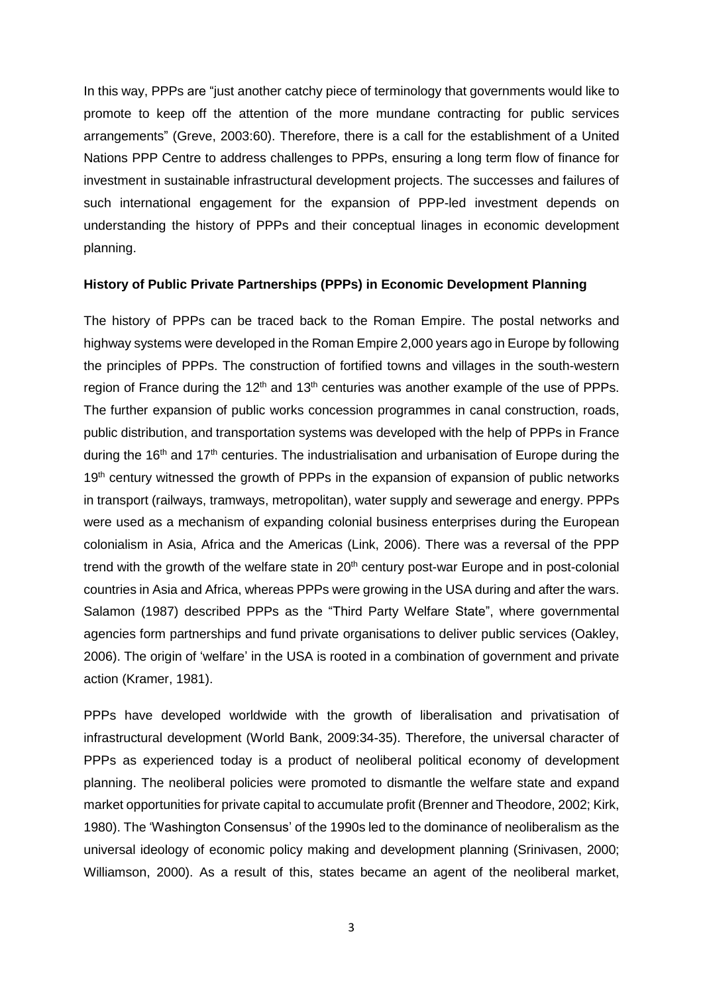In this way, PPPs are "just another catchy piece of terminology that governments would like to promote to keep off the attention of the more mundane contracting for public services arrangements" (Greve, 2003:60). Therefore, there is a call for the establishment of a United Nations PPP Centre to address challenges to PPPs, ensuring a long term flow of finance for investment in sustainable infrastructural development projects. The successes and failures of such international engagement for the expansion of PPP-led investment depends on understanding the history of PPPs and their conceptual linages in economic development planning.

## **History of Public Private Partnerships (PPPs) in Economic Development Planning**

The history of PPPs can be traced back to the Roman Empire. The postal networks and highway systems were developed in the Roman Empire 2,000 years ago in Europe by following the principles of PPPs. The construction of fortified towns and villages in the south-western region of France during the 12<sup>th</sup> and 13<sup>th</sup> centuries was another example of the use of PPPs. The further expansion of public works concession programmes in canal construction, roads, public distribution, and transportation systems was developed with the help of PPPs in France during the 16<sup>th</sup> and 17<sup>th</sup> centuries. The industrialisation and urbanisation of Europe during the 19<sup>th</sup> century witnessed the growth of PPPs in the expansion of expansion of public networks in transport (railways, tramways, metropolitan), water supply and sewerage and energy. PPPs were used as a mechanism of expanding colonial business enterprises during the European colonialism in Asia, Africa and the Americas (Link, 2006). There was a reversal of the PPP trend with the growth of the welfare state in  $20<sup>th</sup>$  century post-war Europe and in post-colonial countries in Asia and Africa, whereas PPPs were growing in the USA during and after the wars. Salamon (1987) described PPPs as the "Third Party Welfare State", where governmental agencies form partnerships and fund private organisations to deliver public services (Oakley, 2006). The origin of 'welfare' in the USA is rooted in a combination of government and private action (Kramer, 1981).

PPPs have developed worldwide with the growth of liberalisation and privatisation of infrastructural development (World Bank, 2009:34-35). Therefore, the universal character of PPPs as experienced today is a product of neoliberal political economy of development planning. The neoliberal policies were promoted to dismantle the welfare state and expand market opportunities for private capital to accumulate profit (Brenner and Theodore, 2002; Kirk, 1980). The 'Washington Consensus' of the 1990s led to the dominance of neoliberalism as the universal ideology of economic policy making and development planning (Srinivasen, 2000; Williamson, 2000). As a result of this, states became an agent of the neoliberal market,

3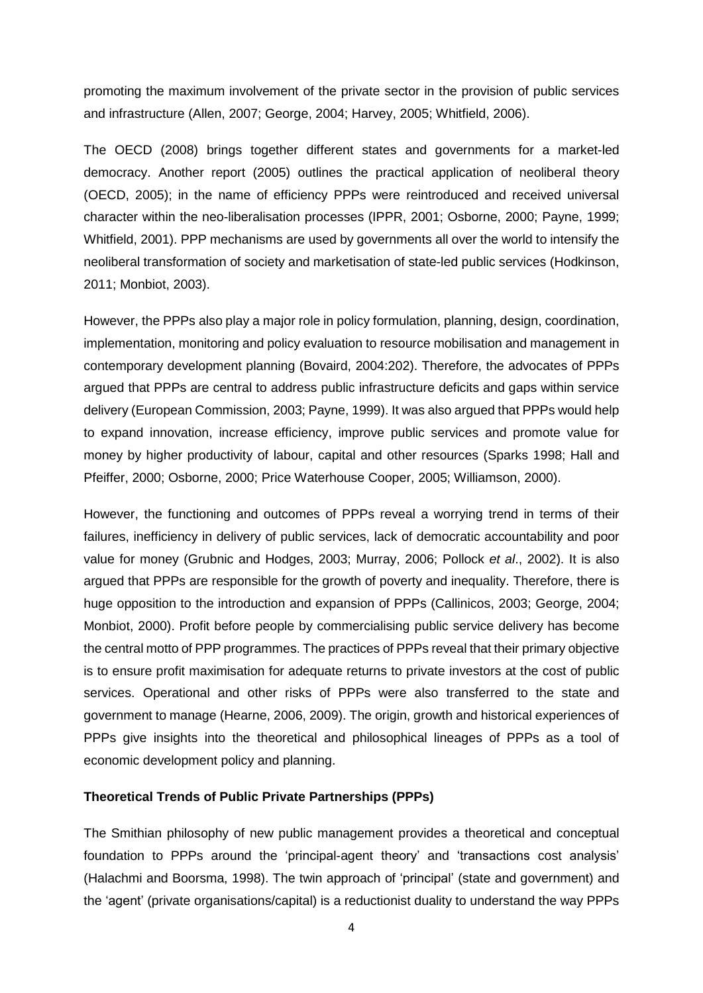promoting the maximum involvement of the private sector in the provision of public services and infrastructure (Allen, 2007; George, 2004; Harvey, 2005; Whitfield, 2006).

The OECD (2008) brings together different states and governments for a market-led democracy. Another report (2005) outlines the practical application of neoliberal theory (OECD, 2005); in the name of efficiency PPPs were reintroduced and received universal character within the neo-liberalisation processes (IPPR, 2001; Osborne, 2000; Payne, 1999; Whitfield, 2001). PPP mechanisms are used by governments all over the world to intensify the neoliberal transformation of society and marketisation of state-led public services (Hodkinson, 2011; Monbiot, 2003).

However, the PPPs also play a major role in policy formulation, planning, design, coordination, implementation, monitoring and policy evaluation to resource mobilisation and management in contemporary development planning (Bovaird, 2004:202). Therefore, the advocates of PPPs argued that PPPs are central to address public infrastructure deficits and gaps within service delivery (European Commission, 2003; Payne, 1999). It was also argued that PPPs would help to expand innovation, increase efficiency, improve public services and promote value for money by higher productivity of labour, capital and other resources (Sparks 1998; Hall and Pfeiffer, 2000; Osborne, 2000; Price Waterhouse Cooper, 2005; Williamson, 2000).

However, the functioning and outcomes of PPPs reveal a worrying trend in terms of their failures, inefficiency in delivery of public services, lack of democratic accountability and poor value for money (Grubnic and Hodges, 2003; Murray, 2006; Pollock *et al*., 2002). It is also argued that PPPs are responsible for the growth of poverty and inequality. Therefore, there is huge opposition to the introduction and expansion of PPPs (Callinicos, 2003; George, 2004; Monbiot, 2000). Profit before people by commercialising public service delivery has become the central motto of PPP programmes. The practices of PPPs reveal that their primary objective is to ensure profit maximisation for adequate returns to private investors at the cost of public services. Operational and other risks of PPPs were also transferred to the state and government to manage (Hearne, 2006, 2009). The origin, growth and historical experiences of PPPs give insights into the theoretical and philosophical lineages of PPPs as a tool of economic development policy and planning.

#### **Theoretical Trends of Public Private Partnerships (PPPs)**

The Smithian philosophy of new public management provides a theoretical and conceptual foundation to PPPs around the 'principal-agent theory' and 'transactions cost analysis' (Halachmi and Boorsma, 1998). The twin approach of 'principal' (state and government) and the 'agent' (private organisations/capital) is a reductionist duality to understand the way PPPs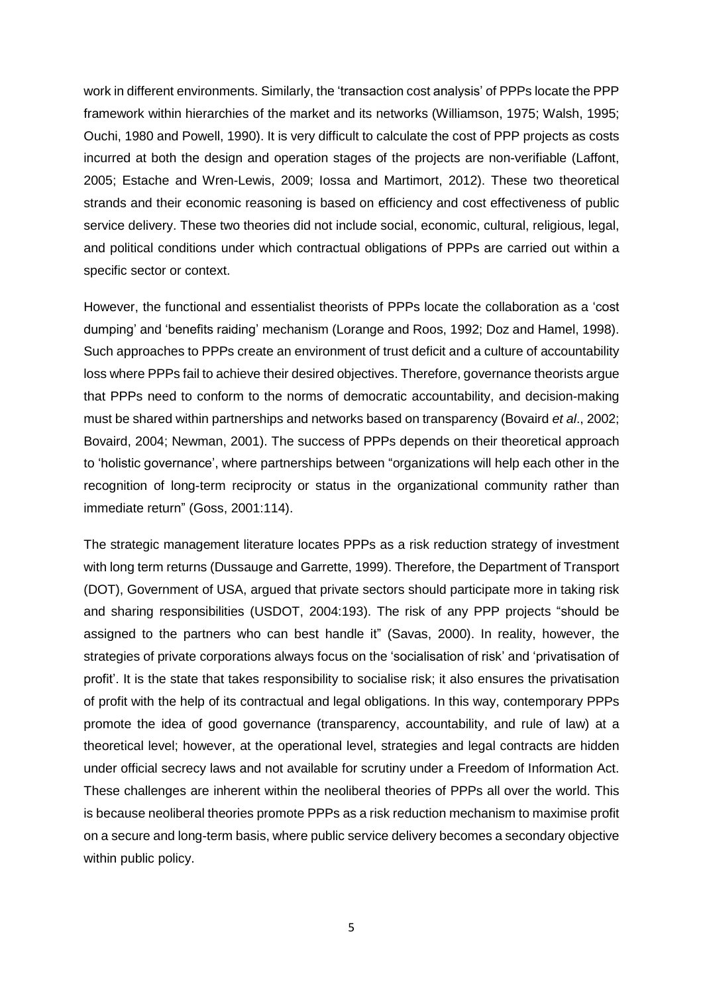work in different environments. Similarly, the 'transaction cost analysis' of PPPs locate the PPP framework within hierarchies of the market and its networks (Williamson, 1975; Walsh, 1995; Ouchi, 1980 and Powell, 1990). It is very difficult to calculate the cost of PPP projects as costs incurred at both the design and operation stages of the projects are non-verifiable (Laffont, 2005; Estache and Wren-Lewis, 2009; Iossa and Martimort, 2012). These two theoretical strands and their economic reasoning is based on efficiency and cost effectiveness of public service delivery. These two theories did not include social, economic, cultural, religious, legal, and political conditions under which contractual obligations of PPPs are carried out within a specific sector or context.

However, the functional and essentialist theorists of PPPs locate the collaboration as a 'cost dumping' and 'benefits raiding' mechanism (Lorange and Roos, 1992; Doz and Hamel, 1998). Such approaches to PPPs create an environment of trust deficit and a culture of accountability loss where PPPs fail to achieve their desired objectives. Therefore, governance theorists argue that PPPs need to conform to the norms of democratic accountability, and decision-making must be shared within partnerships and networks based on transparency (Bovaird *et al*., 2002; Bovaird, 2004; Newman, 2001). The success of PPPs depends on their theoretical approach to 'holistic governance', where partnerships between "organizations will help each other in the recognition of long-term reciprocity or status in the organizational community rather than immediate return" (Goss, 2001:114).

The strategic management literature locates PPPs as a risk reduction strategy of investment with long term returns (Dussauge and Garrette, 1999). Therefore, the Department of Transport (DOT), Government of USA, argued that private sectors should participate more in taking risk and sharing responsibilities (USDOT, 2004:193). The risk of any PPP projects "should be assigned to the partners who can best handle it" (Savas, 2000). In reality, however, the strategies of private corporations always focus on the 'socialisation of risk' and 'privatisation of profit'. It is the state that takes responsibility to socialise risk; it also ensures the privatisation of profit with the help of its contractual and legal obligations. In this way, contemporary PPPs promote the idea of good governance (transparency, accountability, and rule of law) at a theoretical level; however, at the operational level, strategies and legal contracts are hidden under official secrecy laws and not available for scrutiny under a Freedom of Information Act. These challenges are inherent within the neoliberal theories of PPPs all over the world. This is because neoliberal theories promote PPPs as a risk reduction mechanism to maximise profit on a secure and long-term basis, where public service delivery becomes a secondary objective within public policy.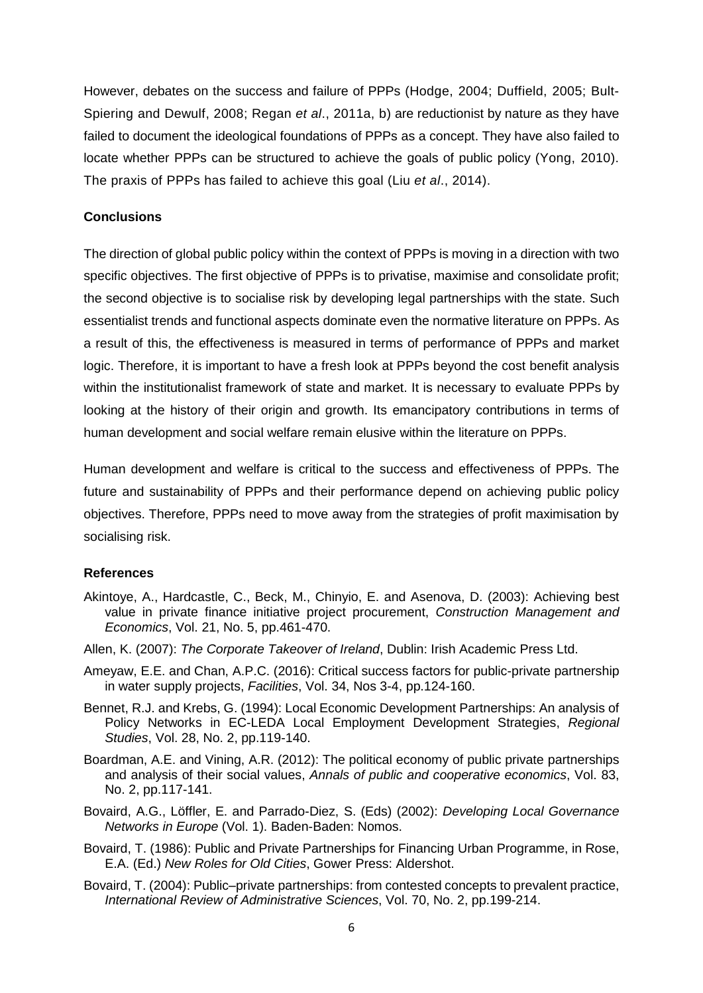However, debates on the success and failure of PPPs (Hodge, 2004; Duffield, 2005; Bult-Spiering and Dewulf, 2008; Regan *et al*., 2011a, b) are reductionist by nature as they have failed to document the ideological foundations of PPPs as a concept. They have also failed to locate whether PPPs can be structured to achieve the goals of public policy (Yong, 2010). The praxis of PPPs has failed to achieve this goal (Liu *et al*., 2014).

## **Conclusions**

The direction of global public policy within the context of PPPs is moving in a direction with two specific objectives. The first objective of PPPs is to privatise, maximise and consolidate profit; the second objective is to socialise risk by developing legal partnerships with the state. Such essentialist trends and functional aspects dominate even the normative literature on PPPs. As a result of this, the effectiveness is measured in terms of performance of PPPs and market logic. Therefore, it is important to have a fresh look at PPPs beyond the cost benefit analysis within the institutionalist framework of state and market. It is necessary to evaluate PPPs by looking at the history of their origin and growth. Its emancipatory contributions in terms of human development and social welfare remain elusive within the literature on PPPs.

Human development and welfare is critical to the success and effectiveness of PPPs. The future and sustainability of PPPs and their performance depend on achieving public policy objectives. Therefore, PPPs need to move away from the strategies of profit maximisation by socialising risk.

## **References**

- Akintoye, A., Hardcastle, C., Beck, M., Chinyio, E. and Asenova, D. (2003): Achieving best value in private finance initiative project procurement, *Construction Management and Economics*, Vol. 21, No. 5, pp.461-470.
- Allen, K. (2007): *The Corporate Takeover of Ireland*, Dublin: Irish Academic Press Ltd.
- Ameyaw, E.E. and Chan, A.P.C. (2016): Critical success factors for public-private partnership in water supply projects, *Facilities*, Vol. 34, Nos 3-4, pp.124-160.
- Bennet, R.J. and Krebs, G. (1994): Local Economic Development Partnerships: An analysis of Policy Networks in EC-LEDA Local Employment Development Strategies, *Regional Studies*, Vol. 28, No. 2, pp.119-140.
- Boardman, A.E. and Vining, A.R. (2012): The political economy of public private partnerships and analysis of their social values, *Annals of public and cooperative economics*, Vol. 83, No. 2, pp.117-141.
- Bovaird, A.G., Löffler, E. and Parrado-Diez, S. (Eds) (2002): *Developing Local Governance Networks in Europe* (Vol. 1). Baden-Baden: Nomos.
- Bovaird, T. (1986): Public and Private Partnerships for Financing Urban Programme, in Rose, E.A. (Ed.) *New Roles for Old Cities*, Gower Press: Aldershot.
- Bovaird, T. (2004): Public–private partnerships: from contested concepts to prevalent practice, *International Review of Administrative Sciences*, Vol. 70, No. 2, pp.199-214.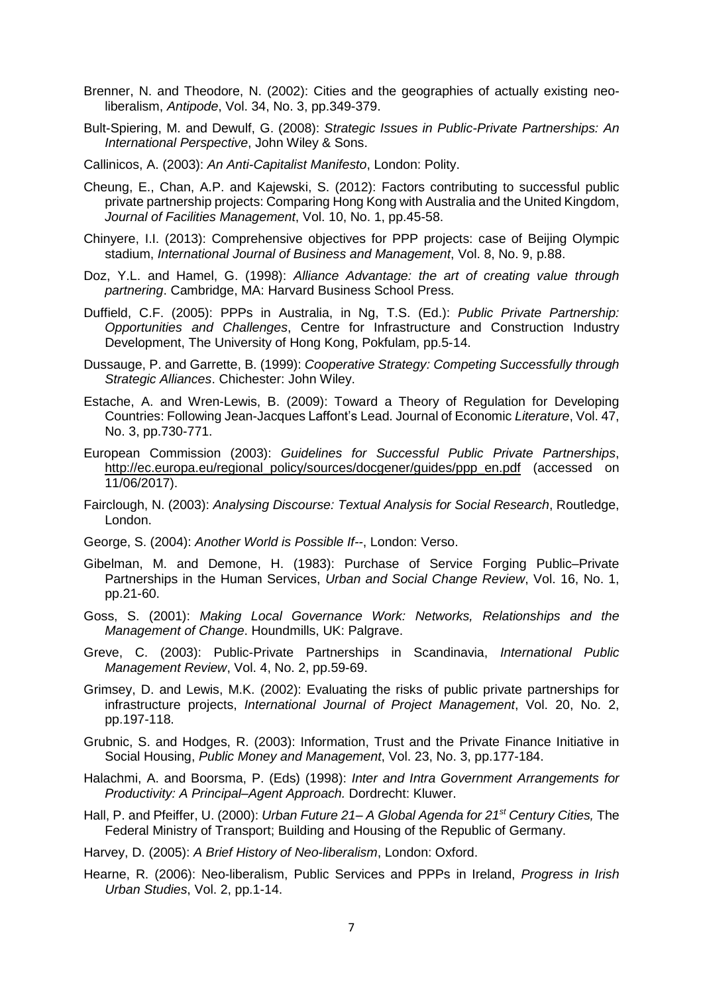- Brenner, N. and Theodore, N. (2002): Cities and the geographies of actually existing neoliberalism, *Antipode*, Vol. 34, No. 3, pp.349-379.
- Bult-Spiering, M. and Dewulf, G. (2008): *Strategic Issues in Public-Private Partnerships: An International Perspective*, John Wiley & Sons.
- Callinicos, A. (2003): *An Anti-Capitalist Manifesto*, London: Polity.
- Cheung, E., Chan, A.P. and Kajewski, S. (2012): Factors contributing to successful public private partnership projects: Comparing Hong Kong with Australia and the United Kingdom, *Journal of Facilities Management*, Vol. 10, No. 1, pp.45-58.
- Chinyere, I.I. (2013): Comprehensive objectives for PPP projects: case of Beijing Olympic stadium, *International Journal of Business and Management*, Vol. 8, No. 9, p.88.
- Doz, Y.L. and Hamel, G. (1998): *Alliance Advantage: the art of creating value through partnering*. Cambridge, MA: Harvard Business School Press.
- Duffield, C.F. (2005): PPPs in Australia, in Ng, T.S. (Ed.): *Public Private Partnership: Opportunities and Challenges*, Centre for Infrastructure and Construction Industry Development, The University of Hong Kong, Pokfulam, pp.5-14.
- Dussauge, P. and Garrette, B. (1999): *Cooperative Strategy: Competing Successfully through Strategic Alliances*. Chichester: John Wiley.
- Estache, A. and Wren-Lewis, B. (2009): Toward a Theory of Regulation for Developing Countries: Following Jean-Jacques Laffont's Lead. Journal of Economic *Literature*, Vol. 47, No. 3, pp.730-771.
- European Commission (2003): *Guidelines for Successful Public Private Partnerships*, [http://ec.europa.eu/regional\\_policy/sources/docgener/guides/ppp\\_en.pdf](http://ec.europa.eu/regional_policy/sources/docgener/guides/ppp_en.pdf) (accessed on 11/06/2017).
- Fairclough, N. (2003): *Analysing Discourse: Textual Analysis for Social Research*, Routledge, London.
- George, S. (2004): *Another World is Possible If--*, London: Verso.
- Gibelman, M. and Demone, H. (1983): Purchase of Service Forging Public–Private Partnerships in the Human Services, *Urban and Social Change Review*, Vol. 16, No. 1, pp.21-60.
- Goss, S. (2001): *Making Local Governance Work: Networks, Relationships and the Management of Change*. Houndmills, UK: Palgrave.
- Greve, C. (2003): Public-Private Partnerships in Scandinavia, *International Public Management Review*, Vol. 4, No. 2, pp.59-69.
- Grimsey, D. and Lewis, M.K. (2002): Evaluating the risks of public private partnerships for infrastructure projects, *International Journal of Project Management*, Vol. 20, No. 2, pp.197-118.
- Grubnic, S. and Hodges, R. (2003): Information, Trust and the Private Finance Initiative in Social Housing, *Public Money and Management*, Vol. 23, No. 3, pp.177-184.
- Halachmi, A. and Boorsma, P. (Eds) (1998): *Inter and Intra Government Arrangements for Productivity: A Principal–Agent Approach.* Dordrecht: Kluwer.
- Hall, P. and Pfeiffer, U. (2000): *Urban Future 21– A Global Agenda for 21st Century Cities,* The Federal Ministry of Transport; Building and Housing of the Republic of Germany.

Harvey, D. (2005): *A Brief History of Neo-liberalism*, London: Oxford.

Hearne, R. (2006): Neo-liberalism, Public Services and PPPs in Ireland, *Progress in Irish Urban Studies*, Vol. 2, pp.1-14.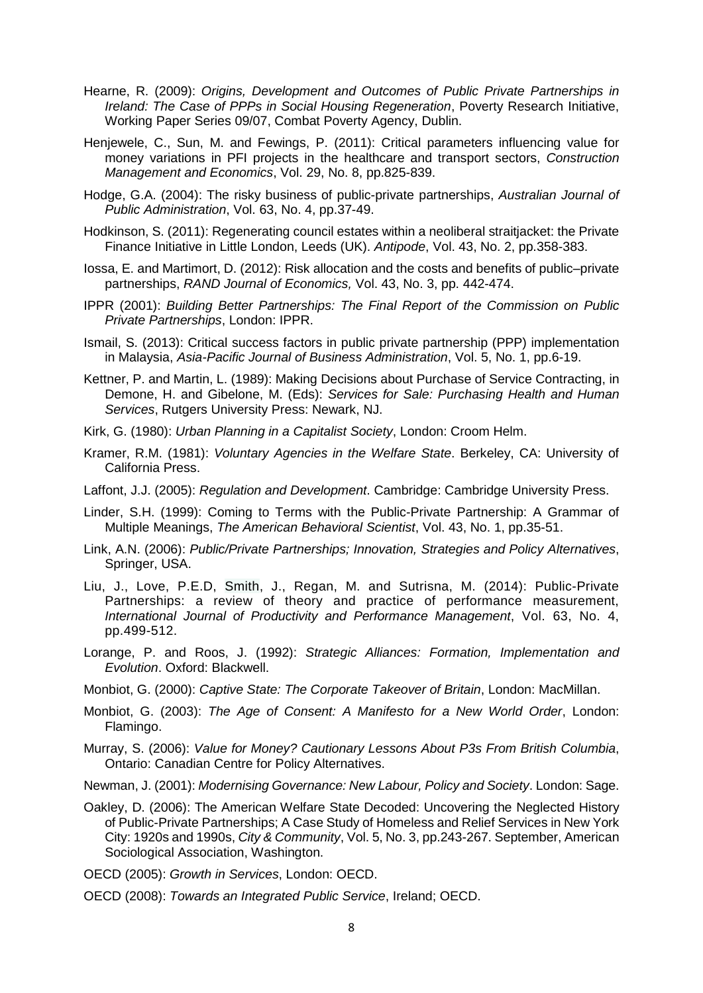- Hearne, R. (2009): *Origins, Development and Outcomes of Public Private Partnerships in Ireland: The Case of PPPs in Social Housing Regeneration*, Poverty Research Initiative, Working Paper Series 09/07, Combat Poverty Agency, Dublin.
- Henjewele, C., Sun, M. and Fewings, P. (2011): Critical parameters influencing value for money variations in PFI projects in the healthcare and transport sectors, *Construction Management and Economics*, Vol. 29, No. 8, pp.825-839.
- Hodge, G.A. (2004): The risky business of public-private partnerships, *Australian Journal of Public Administration*, Vol. 63, No. 4, pp.37-49.
- Hodkinson, S. (2011): Regenerating council estates within a neoliberal straitjacket: the Private Finance Initiative in Little London, Leeds (UK). *Antipode*, Vol. 43, No. 2, pp.358-383.
- Iossa, E. and Martimort, D. (2012): Risk allocation and the costs and benefits of public–private partnerships, *RAND Journal of Economics,* Vol. 43, No. 3, pp. 442-474.
- IPPR (2001): *Building Better Partnerships: The Final Report of the Commission on Public Private Partnerships*, London: IPPR.
- Ismail, S. (2013): Critical success factors in public private partnership (PPP) implementation in Malaysia, *Asia-Pacific Journal of Business Administration*, Vol. 5, No. 1, pp.6-19.
- Kettner, P. and Martin, L. (1989): Making Decisions about Purchase of Service Contracting, in Demone, H. and Gibelone, M. (Eds): *Services for Sale: Purchasing Health and Human Services*, Rutgers University Press: Newark, NJ.
- Kirk, G. (1980): *Urban Planning in a Capitalist Society*, London: Croom Helm.
- Kramer, R.M. (1981): *Voluntary Agencies in the Welfare State*. Berkeley, CA: University of California Press.
- Laffont, J.J. (2005): *Regulation and Development*. Cambridge: Cambridge University Press.
- Linder, S.H. (1999): Coming to Terms with the Public-Private Partnership: A Grammar of Multiple Meanings, *The American Behavioral Scientist*, Vol. 43, No. 1, pp.35-51.
- Link, A.N. (2006): *Public/Private Partnerships; Innovation, Strategies and Policy Alternatives*, Springer, USA.
- Liu, J., Love, P.E.D, Smith, J., Regan, M. and Sutrisna, M. (2014): Public-Private Partnerships: a review of theory and practice of performance measurement, *International Journal of Productivity and Performance Management*, Vol. 63, No. 4, pp.499-512.
- Lorange, P. and Roos, J. (1992): *Strategic Alliances: Formation, Implementation and Evolution*. Oxford: Blackwell.
- Monbiot, G. (2000): *Captive State: The Corporate Takeover of Britain*, London: MacMillan.
- Monbiot, G. (2003): *The Age of Consent: A Manifesto for a New World Order*, London: Flamingo.
- Murray, S. (2006): *Value for Money? Cautionary Lessons About P3s From British Columbia*, Ontario: Canadian Centre for Policy Alternatives.
- Newman, J. (2001): *Modernising Governance: New Labour, Policy and Society*. London: Sage.
- Oakley, D. (2006): The American Welfare State Decoded: Uncovering the Neglected History of Public-Private Partnerships; A Case Study of Homeless and Relief Services in New York City: 1920s and 1990s, *City & Community*, Vol. 5, No. 3, pp.243-267. September, American Sociological Association, Washington.
- OECD (2005): *Growth in Services*, London: OECD.
- OECD (2008): *Towards an Integrated Public Service*, Ireland; OECD.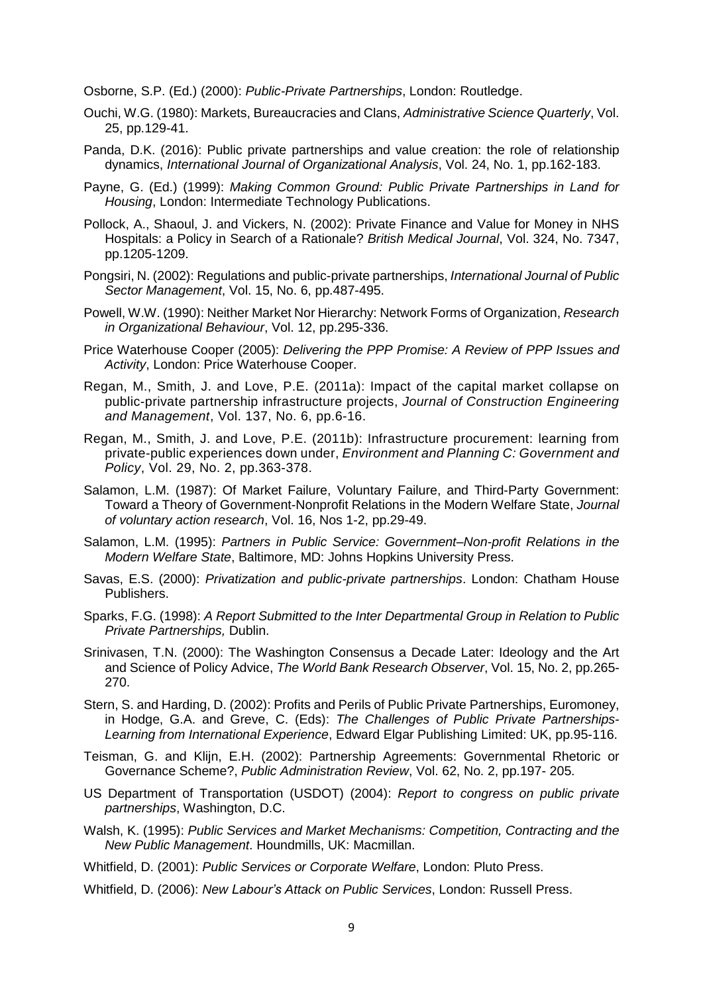Osborne, S.P. (Ed.) (2000): *Public-Private Partnerships*, London: Routledge.

- Ouchi, W.G. (1980): Markets, Bureaucracies and Clans, *Administrative Science Quarterly*, Vol. 25, pp.129-41.
- Panda, D.K. (2016): Public private partnerships and value creation: the role of relationship dynamics, *International Journal of Organizational Analysis*, Vol. 24, No. 1, pp.162-183.
- Payne, G. (Ed.) (1999): *Making Common Ground: Public Private Partnerships in Land for Housing*, London: Intermediate Technology Publications.
- Pollock, A., Shaoul, J. and Vickers, N. (2002): Private Finance and Value for Money in NHS Hospitals: a Policy in Search of a Rationale? *British Medical Journal*, Vol. 324, No. 7347, pp.1205-1209.
- Pongsiri, N. (2002): Regulations and public-private partnerships, *International Journal of Public Sector Management*, Vol. 15, No. 6, pp.487-495.
- Powell, W.W. (1990): Neither Market Nor Hierarchy: Network Forms of Organization, *Research in Organizational Behaviour*, Vol. 12, pp.295-336.
- Price Waterhouse Cooper (2005): *Delivering the PPP Promise: A Review of PPP Issues and Activity*, London: Price Waterhouse Cooper.
- Regan, M., Smith, J. and Love, P.E. (2011a): Impact of the capital market collapse on public-private partnership infrastructure projects, *Journal of Construction Engineering and Management*, Vol. 137, No. 6, pp.6-16.
- Regan, M., Smith, J. and Love, P.E. (2011b): Infrastructure procurement: learning from private-public experiences down under, *Environment and Planning C: Government and Policy*, Vol. 29, No. 2, pp.363-378.
- Salamon, L.M. (1987): Of Market Failure, Voluntary Failure, and Third-Party Government: Toward a Theory of Government-Nonprofit Relations in the Modern Welfare State, *Journal of voluntary action research*, Vol. 16, Nos 1-2, pp.29-49.
- Salamon, L.M. (1995): *Partners in Public Service: Government–Non-profit Relations in the Modern Welfare State*, Baltimore, MD: Johns Hopkins University Press.
- Savas, E.S. (2000): *Privatization and public-private partnerships*. London: Chatham House Publishers.
- Sparks, F.G. (1998): *A Report Submitted to the Inter Departmental Group in Relation to Public Private Partnerships,* Dublin.
- Srinivasen, T.N. (2000): The Washington Consensus a Decade Later: Ideology and the Art and Science of Policy Advice, *The World Bank Research Observer*, Vol. 15, No. 2, pp.265- 270.
- Stern, S. and Harding, D. (2002): Profits and Perils of Public Private Partnerships, Euromoney, in Hodge, G.A. and Greve, C. (Eds): *The Challenges of Public Private Partnerships-Learning from International Experience*, Edward Elgar Publishing Limited: UK, pp.95-116.
- Teisman, G. and Klijn, E.H. (2002): Partnership Agreements: Governmental Rhetoric or Governance Scheme?, *Public Administration Review*, Vol. 62, No. 2, pp.197- 205.
- US Department of Transportation (USDOT) (2004): *Report to congress on public private partnerships*, Washington, D.C.
- Walsh, K. (1995): *Public Services and Market Mechanisms: Competition, Contracting and the New Public Management*. Houndmills, UK: Macmillan.
- Whitfield, D. (2001): *Public Services or Corporate Welfare*, London: Pluto Press.
- Whitfield, D. (2006): *New Labour's Attack on Public Services*, London: Russell Press.